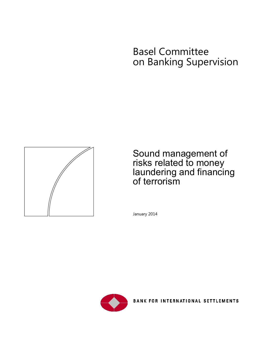# Basel Committee on Banking Supervision



# Sound management of risks related to money laundering and financing of terrorism

January 2014



BANK FOR INTERNATIONAL SETTLEMENTS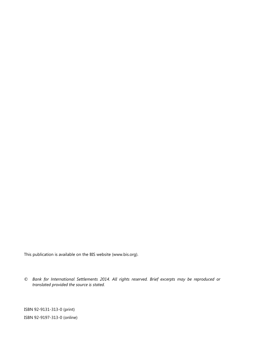This publication is available on the BIS website [\(www.bis.org\)](http://www.bis.org/).

*© Bank for International Settlements 2014. All rights reserved. Brief excerpts may be reproduced or translated provided the source is stated.*

ISBN 92-9131-313-0 (print) ISBN 92-9197-313-0 (online)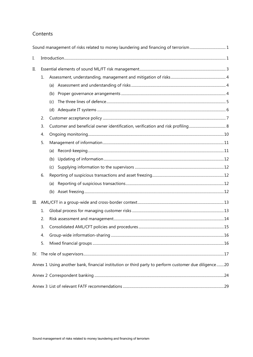### Contents

|     |    | Sound management of risks related to money laundering and financing of terrorism 1                   |  |
|-----|----|------------------------------------------------------------------------------------------------------|--|
| I.  |    |                                                                                                      |  |
| II. |    |                                                                                                      |  |
|     | 1. |                                                                                                      |  |
|     |    |                                                                                                      |  |
|     |    |                                                                                                      |  |
|     |    | (c)                                                                                                  |  |
|     |    |                                                                                                      |  |
|     | 2. |                                                                                                      |  |
|     | 3. |                                                                                                      |  |
|     | 4. |                                                                                                      |  |
|     | 5. |                                                                                                      |  |
|     |    | (a)                                                                                                  |  |
|     |    | (b)                                                                                                  |  |
|     |    | (c)                                                                                                  |  |
|     | 6. |                                                                                                      |  |
|     |    | (a)                                                                                                  |  |
|     |    |                                                                                                      |  |
| Ш.  |    |                                                                                                      |  |
|     | 1. |                                                                                                      |  |
|     | 2. |                                                                                                      |  |
|     | 3. |                                                                                                      |  |
|     | 4  |                                                                                                      |  |
|     | 5. |                                                                                                      |  |
| IV. |    |                                                                                                      |  |
|     |    | Annex 1 Using another bank, financial institution or third party to perform customer due diligence20 |  |
|     |    |                                                                                                      |  |
|     |    |                                                                                                      |  |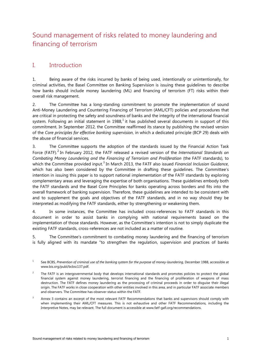# <span id="page-4-0"></span>Sound management of risks related to money laundering and financing of terrorism

## <span id="page-4-1"></span>I. Introduction

1. Being aware of the risks incurred by banks of being used, intentionally or unintentionally, for criminal activities, the Basel Committee on Banking Supervision is issuing these guidelines to describe how banks should include money laundering (ML) and financing of terrorism (FT) risks within their overall risk management.

2. The Committee has a long-standing commitment to promote the implementation of sound Anti-Money Laundering and Countering Financing of Terrorism (AML/CFT) policies and procedures that are critical in protecting the safety and soundness of banks and the integrity of the international financial system. Following an initial statement in [1](#page-4-2)988, $^1$  it has published several documents in support of this commitment. In September 2012, the Committee reaffirmed its stance by publishing the revised version of the *Core principles for effective banking supervision*, in which a dedicated principle (BCP 29) deals with the abuse of financial services.

3. The Committee supports the adoption of the standards issued by the Financial Action Task Force (FATF). [2](#page-4-3) In February 2012, the FATF released a revised version of the *International Standards on Combating Money Laundering and the Financing of Terrorism and Proliferation* (the FATF standards), to which the Committee provided input. [3](#page-4-4) In March 2013, the FATF also issued *Financial Inclusion Guidance*, which has also been considered by the Committee in drafting these guidelines. The Committee's intention in issuing this paper is to support national implementation of the FATF standards by exploring complementary areas and leveraging the expertise of both organisations. These guidelines embody both the FATF standards and the Basel Core Principles for banks operating across borders and fits into the overall framework of banking supervision. Therefore, these guidelines are intended to be consistent with and to supplement the goals and objectives of the FATF standards, and in no way should they be interpreted as modifying the FATF standards, either by strengthening or weakening them.

4. In some instances, the Committee has included cross-references to FATF standards in this document in order to assist banks in complying with national requirements based on the implementation of those standards. However, as the Committee's intention is not to simply duplicate the existing FATF standards, cross-references are not included as a matter of routine.

5. The Committee's commitment to combating money laundering and the financing of terrorism is fully aligned with its mandate "to strengthen the regulation, supervision and practices of banks

<span id="page-4-2"></span><sup>1</sup> See BCBS, Prevention of criminal use of the banking system for the purpose of money-laundering, December 1988, accessible at [www.bis.org/publ/bcbsc137.pdf.](http://www.bis.org/publ/bcbsc137.pdf)

- <span id="page-4-3"></span> $2^2$  The FATF is an intergovernmental body that develops international standards and promotes policies to protect the global financial system against money laundering, terrorist financing and the financing of proliferation of weapons of mass destruction. The FATF defines money laundering as the processing of criminal proceeds in order to disguise their illegal origin. The FATF works in close cooperation with other entities involved in this area, and in particular FATF associate members and observers. The Committee has observer status within the FATF.
- <span id="page-4-4"></span> $3$  Annex 3 contains an excerpt of the most relevant FATF Recommendations that banks and supervisors should comply with when implementing their AML/CFT measures. This is not exhaustive and other FATF Recommendations, including the Interpretive Notes, may be relevant. The full document is accessible at www.fatf-gafi.org/recommendations.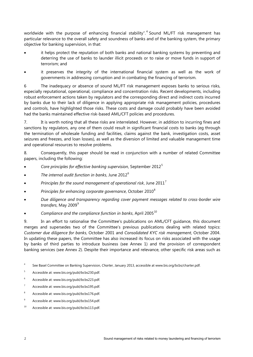worldwide with the purpose of enhancing financial stability".<sup>[4](#page-5-0)</sup> Sound ML/FT risk management has particular relevance to the overall safety and soundness of banks and of the banking system, the primary objective for banking supervision, in that:

- it helps protect the reputation of both banks and national banking systems by preventing and deterring the use of banks to launder illicit proceeds or to raise or move funds in support of terrorism; and
- it preserves the integrity of the international financial system as well as the work of governments in addressing corruption and in combating the financing of terrorism.

6 The inadequacy or absence of sound ML/FT risk management exposes banks to serious risks, especially reputational, operational, compliance and concentration risks. Recent developments, including robust enforcement actions taken by regulators and the corresponding direct and indirect costs incurred by banks due to their lack of diligence in applying appropriate risk management policies, procedures and controls, have highlighted those risks. These costs and damage could probably have been avoided had the banks maintained effective risk-based AML/CFT policies and procedures.

7. It is worth noting that all these risks are interrelated. However, in addition to incurring fines and sanctions by regulators, any one of them could result in significant financial costs to banks (eg through the termination of wholesale funding and facilities, claims against the bank, investigation costs, asset seizures and freezes, and loan losses), as well as the diversion of limited and valuable management time and operational resources to resolve problems.

8. Consequently, this paper should be read in conjunction with a number of related Committee papers, including the following:

- *Core principles for effective banking supervision*, September 2012[5](#page-5-1)
- *The internal audit function in banks*, June 2012[6](#page-5-2)
- *Principles for the sound management of operational risk*, June 2011[7](#page-5-3)
- *Principles for enhancing corporate governance*, October 2010[8](#page-5-4)
- *Due diligence and transparency regarding cover payment messages related to cross-border wire*  transfers, May 200[9](#page-5-5)<sup>9</sup>
- *Compliance and the compliance function in banks*, April 2005[10](#page-5-6)

9. In an effort to rationalise the Committee's publications on AML/CFT guidance, this document merges and supersedes two of the Committee's previous publications dealing with related topics: *Customer due diligence for banks*, October 2001 and *Consolidated KYC risk management*, October 2004. In updating these papers, the Committee has also increased its focus on risks associated with the usage by banks of third parties to introduce business (see Annex 1) and the provision of correspondent banking services (see Annex 2). Despite their importance and relevance, other specific risk areas such as

<span id="page-5-0"></span><sup>4</sup> See Basel Committee on Banking Supervision, *Charter*, January 2013, accessible at www.bis.org/bcbs/charter.pdf.

- <span id="page-5-1"></span><sup>5</sup> Accessible at: www.bis.org/publ/bcbs230.pdf.
- <span id="page-5-2"></span><sup>6</sup> Accessible at: www.bis.org/publ/bcbs223.pdf.
- <span id="page-5-3"></span><sup>7</sup> Accessible at: www.bis.org/publ/bcbs195.pdf.
- <span id="page-5-4"></span><sup>8</sup> Accessible at: www.bis.org/publ/bcbs176.pdf.
- <span id="page-5-5"></span><sup>9</sup> Accessible at: www.bis.org/publ/bcbs154.pdf.
- <span id="page-5-6"></span><sup>10</sup> Accessible at: www.bis.org/publ/bcbs113.pdf.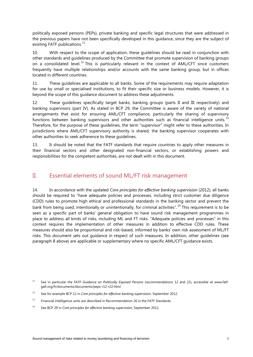politically exposed persons (PEPs), private banking and specific legal structures that were addressed in the previous papers have not been specifically developed in this guidance, since they are the subject of existing FATF publications.<sup>[11](#page-6-1)</sup>

10. With respect to the scope of application, these guidelines should be read in conjunction with other standards and guidelines produced by the Committee that promote supervision of banking groups on a consolidated level.<sup>[12](#page-6-2)</sup> This is particularly relevant in the context of AML/CFT since customers frequently have multiple relationships and/or accounts with the same banking group, but in offices located in different countries.

11. These guidelines are applicable to all banks. Some of the requirements may require adaptation for use by small or specialised institutions, to fit their specific size or business models. However, it is beyond the scope of this guidance document to address these adjustments.

12. These guidelines specifically target banks, banking groups (parts II and III respectively) and banking supervisors (part IV). As stated in BCP 29, the Committee is aware of the variety of national arrangements that exist for ensuring AML/CFT compliance, particularly the sharing of supervisory functions between banking supervisors and other authorities such as financial intelligence units.<sup>[13](#page-6-3)</sup> Therefore, for the purpose of these guidelines, the term "supervisor" might refer to these authorities. In jurisdictions where AML/CFT supervisory authority is shared, the banking supervisor cooperates with other authorities to seek adherence to these guidelines.

13. It should be noted that the FATF standards that require countries to apply other measures in their financial sectors and other designated non-financial sectors, or establishing powers and responsibilities for the competent authorities, are not dealt with in this document.

### <span id="page-6-0"></span>II. Essential elements of sound ML/FT risk management

14. In accordance with the updated *Core principles for effective banking supervision* (2012), all banks should be required to "have adequate policies and processes, including strict customer due diligence (CDD) rules to promote high ethical and professional standards in the banking sector and prevent the bank from being used, intentionally or unintentionally, for criminal activities".<sup>[14](#page-6-4)</sup> This requirement is to be seen as a specific part of banks' general obligation to have sound risk management programmes in place to address all kinds of risks, including ML and FT risks. "Adequate policies and processes" in this context requires the implementation of other measures in addition to effective CDD rules. These measures should also be proportional and risk-based, informed by banks' own risk assessment of ML/FT risks. This document sets out guidance in respect of such measures. In addition, other guidelines (see paragraph 8 above) are applicable or supplementary where no specific AML/CFT guidance exists.

<span id="page-6-1"></span><sup>11</sup> See in particular the *FATF Guidance on Politically Exposed Persons* (recommendations 12 and 22), accessible at www.fatfgafi.org/fr/documents/documents/peps-r12-r22.html.

<span id="page-6-2"></span><sup>12</sup> See for example BCP 12 in *Core principles for effective banking supervision*, September 2012.

<span id="page-6-3"></span> $13$  Financial intelligence units are described in Recommendation 26 in the FATF Standards.

<span id="page-6-4"></span><sup>14</sup> See BCP 29 in *Core principles for effective banking supervision*, September 2012.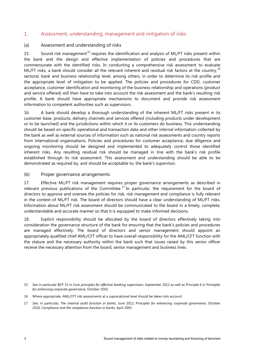#### <span id="page-7-0"></span>1. Assessment, understanding, management and mitigation of risks

#### <span id="page-7-1"></span>(a) Assessment and understanding of risks

[15](#page-7-3). Sound risk management<sup>15</sup> requires the identification and analysis of ML/FT risks present within the bank and the design and effective implementation of policies and procedures that are commensurate with the identified risks. In conducting a comprehensive risk assessment to evaluate ML/FT risks, a bank should consider all the relevant inherent and residual risk factors at the country, <sup>[16](#page-7-4)</sup> sectoral, bank and business relationship level, among others, in order to determine its risk profile and the appropriate level of mitigation to be applied. The policies and procedures for CDD, customer acceptance, customer identification and monitoring of the business relationship and operations (product and service offered) will then have to take into account the risk assessment and the bank's resulting risk profile. A bank should have appropriate mechanisms to document and provide risk assessment information to competent authorities such as supervisors.

16. A bank should develop a thorough understanding of the inherent ML/FT risks present in its customer base, products, delivery channels and services offered (including products under development or to be launched) and the jurisdictions within which it or its customers do business. This understanding should be based on specific operational and transaction data and other internal information collected by the bank as well as external sources of information such as national risk assessments and country reports from international organisations. Policies and procedures for customer acceptance, due diligence and ongoing monitoring should be designed and implemented to adequately control those identified inherent risks. Any resulting residual risk should be managed in line with the bank's risk profile established through its risk assessment. This assessment and understanding should be able to be demonstrated as required by, and should be acceptable to, the bank's supervisor.

#### <span id="page-7-2"></span>(b) Proper governance arrangements

17. Effective ML/FT risk management requires proper governance arrangements as described in relevant previous publications of the Committee.<sup>[17](#page-7-5)</sup> In particular, the requirement for the board of directors to approve and oversee the policies for risk, risk management and compliance is fully relevant in the context of ML/FT risk. The board of directors should have a clear understanding of ML/FT risks. Information about ML/FT risk assessment should be communicated to the board in a timely, complete, understandable and accurate manner so that it is equipped to make informed decisions.

18. Explicit responsibility should be allocated by the board of directors effectively taking into consideration the governance structure of the bank for ensuring that the bank's policies and procedures are managed effectively. The board of directors and senior management should appoint an appropriately qualified chief AML/CFT officer to have overall responsibility for the AML/CFT function with the stature and the necessary authority within the bank such that issues raised by this senior officer receive the necessary attention from the board, senior management and business lines.

<span id="page-7-3"></span><sup>15</sup> See in particular BCP 15 in *Core principles for effective banking supervision*, September 2012 as well as Principle 6 in *Principles for enhancing corporate governance*, October 2010.

<span id="page-7-4"></span><sup>16</sup> Where appropriate, AML/CFT risk assessments at a supranational level should be taken into account.

<span id="page-7-5"></span><sup>17</sup> See, in particular, *The internal audit function in banks*, June 2012; *Principles for enhancing corporate governance*, October 2010*; Compliance and the compliance function in banks*, April 2005.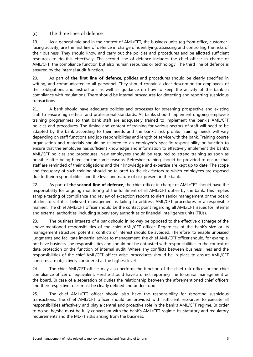#### <span id="page-8-0"></span>(c) The three lines of defence

19. As a general rule and in the context of AML/CFT, the business units (eg front office, customerfacing activity) are the first line of defence in charge of identifying, assessing and controlling the risks of their business. They should know and carry out the policies and procedures and be allotted sufficient resources to do this effectively. The second line of defence includes the chief officer in charge of AML/CFT, the compliance function but also human resources or technology. The third line of defence is ensured by the internal audit function.

20. As part of **the first line of defence**, policies and procedures should be clearly specified in writing, and communicated to all personnel. They should contain a clear description for employees of their obligations and instructions as well as guidance on how to keep the activity of the bank in compliance with regulations. There should be internal procedures for detecting and reporting suspicious transactions.

21. A bank should have adequate policies and processes for screening prospective and existing staff to ensure high ethical and professional standards. All banks should implement ongoing employee training programmes so that bank staff are adequately trained to implement the bank's AML/CFT policies and procedures. The timing and content of training for various sectors of staff will need to be adapted by the bank according to their needs and the bank's risk profile. Training needs will vary depending on staff functions and job responsibilities and length of service with the bank. Training course organisation and materials should be tailored to an employee's specific responsibility or function to ensure that the employee has sufficient knowledge and information to effectively implement the bank's AML/CFT policies and procedures. New employees should be required to attend training as soon as possible after being hired, for the same reasons. Refresher training should be provided to ensure that staff are reminded of their obligations and their knowledge and expertise are kept up to date. The scope and frequency of such training should be tailored to the risk factors to which employees are exposed due to their responsibilities and the level and nature of risk present in the bank.

22. As part of **the second line of defence**, the chief officer in charge of AML/CFT should have the responsibility for ongoing monitoring of the fulfilment of all AML/CFT duties by the bank. This implies sample testing of compliance and review of exception reports to alert senior management or the board of directors if it is believed management is failing to address AML/CFT procedures in a responsible manner. The chief AML/CFT officer should be the contact point regarding all AML/CFT issues for internal and external authorities, including supervisory authorities or financial intelligence units (FIUs).

23. The business interests of a bank should in no way be opposed to the effective discharge of the above-mentioned responsibilities of the chief AML/CFT officer. Regardless of the bank's size or its management structure, potential conflicts of interest should be avoided. Therefore, to enable unbiased judgments and facilitate impartial advice to management, the chief AML/CFT officer should, for example, not have business line responsibilities and should not be entrusted with responsibilities in the context of data protection or the function of internal audit. Where any conflicts between business lines and the responsibilities of the chief AML/CFT officer arise, procedures should be in place to ensure AML/CFT concerns are objectively considered at the highest level.

24. The chief AML/CFT officer may also perform the function of the chief risk officer or the chief compliance officer or equivalent. He/she should have a direct reporting line to senior management or the board. In case of a separation of duties the relationship between the aforementioned chief officers and their respective roles must be clearly defined and understood.

25. The chief AML/CFT officer should also have the responsibility for reporting suspicious transactions. The chief AML/CFT officer should be provided with sufficient resources to execute all responsibilities effectively and play a central and proactive role in the bank's AML/CFT regime. In order to do so, he/she must be fully conversant with the bank's AML/CFT regime, its statutory and regulatory requirements and the ML/FT risks arising from the business.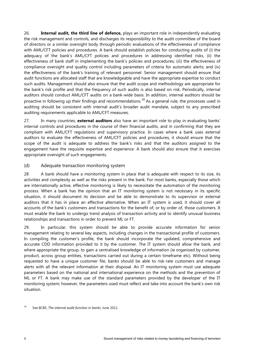26. **Internal audit, the third line of defence,** plays an important role in independently evaluating the risk management and controls, and discharges its responsibility to the audit committee of the board of directors or a similar oversight body through periodic evaluations of the effectiveness of compliance with AML/CFT policies and procedures. A bank should establish policies for conducting audits of (i) the adequacy of the bank's AML/CFT policies and procedures in addressing identified risks, (ii) the effectiveness of bank staff in implementing the bank's policies and procedures; (iii) the effectiveness of compliance oversight and quality control including parameters of criteria for automatic alerts; and (iv) the effectiveness of the bank's training of relevant personnel. Senior management should ensure that audit functions are allocated staff that are knowledgeable and have the appropriate expertise to conduct such audits. Management should also ensure that the audit scope and methodology are appropriate for the bank's risk profile and that the frequency of such audits is also based on risk. Periodically, internal auditors should conduct AML/CFT audits on a bank-wide basis. In addition, internal auditors should be proactive in following up their findings and recommendations.<sup>[18](#page-9-1)</sup> As a general rule, the processes used in auditing should be consistent with internal audit's broader audit mandate, subject to any prescribed auditing requirements applicable to AML/CFT measures.

27. In many countries, **external auditors** also have an important role to play in evaluating banks' internal controls and procedures in the course of their financial audits, and in confirming that they are compliant with AML/CFT regulations and supervisory practice. In cases where a bank uses external auditors to evaluate the effectiveness of AML/CFT policies and procedures, it should ensure that the scope of the audit is adequate to address the bank's risks and that the auditors assigned to the engagement have the requisite expertise and experience. A bank should also ensure that it exercises appropriate oversight of such engagements.

#### <span id="page-9-0"></span>(d) Adequate transaction monitoring system

28 A bank should have a monitoring system in place that is adequate with respect to its size, its activities and complexity as well as the risks present in the bank. For most banks, especially those which are internationally active, effective monitoring is likely to necessitate the automation of the monitoring process. When a bank has the opinion that an IT monitoring system is not necessary in its specific situation, it should document its decision and be able to demonstrate to its supervisor or external auditors that it has in place an effective alternative. When an IT system is used, it should cover all accounts of the bank's customers and transactions for the benefit of, or by order of, those customers. It must enable the bank to undergo trend analysis of transaction activity and to identify unusual business relationships and transactions in order to prevent ML or FT.

29. In particular, this system should be able to provide accurate information for senior management relating to several key aspects, including changes in the transactional profile of customers. In compiling the customer's profile, the bank should incorporate the updated, comprehensive and accurate CDD information provided to it by the customer. The IT system should allow the bank, and where appropriate the group, to gain a centralised knowledge of information (ie organised by customer, product, across group entities, transactions carried out during a certain timeframe etc). Without being requested to have a unique customer file, banks should be able to risk-rate customers and manage alerts with all the relevant information at their disposal. An IT monitoring system must use adequate parameters based on the national and international experience on the methods and the prevention of ML or FT. A bank may make use of the standard parameters provided by the developer of the IT monitoring system; however, the parameters used must reflect and take into account the bank's own risk situation.

<span id="page-9-1"></span><sup>18</sup> See BCBS, *The internal audit function in banks*, June 2012.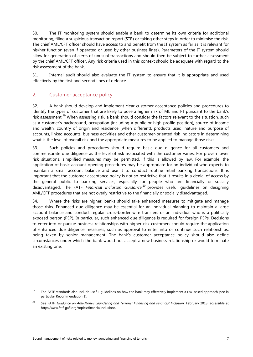30. The IT monitoring system should enable a bank to determine its own criteria for additional monitoring, filing a suspicious transaction report (STR) or taking other steps in order to minimise the risk. The chief AML/CFT officer should have access to and benefit from the IT system as far as it is relevant for his/her function (even if operated or used by other business lines). Parameters of the IT system should allow for generation of alerts of unusual transactions and should then be subject to further assessment by the chief AML/CFT officer. Any risk criteria used in this context should be adequate with regard to the risk assessment of the bank.

31. Internal audit should also evaluate the IT system to ensure that it is appropriate and used effectively by the first and second lines of defence.

#### <span id="page-10-0"></span>2. Customer acceptance policy

32. A bank should develop and implement clear customer acceptance policies and procedures to identify the types of customer that are likely to pose a higher risk of ML and FT pursuant to the bank's risk assessment.<sup>[19](#page-10-1)</sup> When assessing risk, a bank should consider the factors relevant to the situation, such as a customer's background, occupation (including a public or high-profile position), source of income and wealth, country of origin and residence (when different), products used, nature and purpose of accounts, linked accounts, business activities and other customer-oriented risk indicators in determining what is the level of overall risk and the appropriate measures to be applied to manage those risks.

33. Such policies and procedures should require basic due diligence for all customers and commensurate due diligence as the level of risk associated with the customer varies. For proven lower risk situations, simplified measures may be permitted, if this is allowed by law. For example, the application of basic account-opening procedures may be appropriate for an individual who expects to maintain a small account balance and use it to conduct routine retail banking transactions. It is important that the customer acceptance policy is not so restrictive that it results in a denial of access by the general public to banking services, especially for people who are financially or socially disadvantaged. The FATF *Financial Inclusion Guidance* [20](#page-10-2) provides useful guidelines on designing AML/CFT procedures that are not overly restrictive to the financially or socially disadvantaged.

34. Where the risks are higher, banks should take enhanced measures to mitigate and manage those risks. Enhanced due diligence may be essential for an individual planning to maintain a large account balance and conduct regular cross-border wire transfers or an individual who is a politically exposed person (PEP). In particular, such enhanced due diligence is required for foreign PEPs. Decisions to enter into or pursue business relationships with higher-risk customers should require the application of enhanced due diligence measures, such as approval to enter into or continue such relationships, being taken by senior management. The bank's customer acceptance policy should also define circumstances under which the bank would not accept a new business relationship or would terminate an existing one.

<span id="page-10-1"></span> $19$  The FATF standards also include useful guidelines on how the bank may effectively implement a risk-based approach (see in particular Recommendation 1).

<span id="page-10-2"></span><sup>20</sup> See FATF, *Guidance on Anti-Money Laundering and Terrorist Financing and Financial Inclusion*, February 2013, accessible at http://www.fatf-gafi.org/topics/financialinclusion/.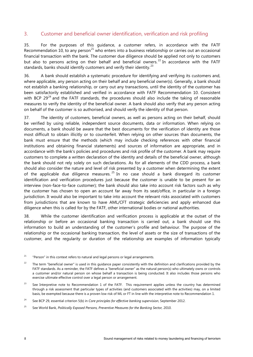#### <span id="page-11-0"></span>3. Customer and beneficial owner identification, verification and risk profiling

35. For the purposes of this guidance, a customer refers, in accordance with the FATF Recommendation 10, to any person<sup>[21](#page-11-1)</sup> who enters into a business relationship or carries out an occasional financial transaction with the bank. The customer due diligence should be applied not only to customers but also to persons acting on their behalf and beneficial owners.<sup>[22](#page-11-2)</sup> In accordance with the FATF standards, banks should identify customers and verify their identity. $^{23}$  $^{23}$  $^{23}$ 

36. A bank should establish a systematic procedure for identifying and verifying its customers and, where applicable, any person acting on their behalf and any beneficial owner(s). Generally, a bank should not establish a banking relationship, or carry out any transactions, until the identity of the customer has been satisfactorily established and verified in accordance with FATF Recommendation 10. Consistent with BCP  $29^{24}$  $29^{24}$  $29^{24}$  and the FATF standards, the procedures should also include the taking of reasonable measures to verify the identity of the beneficial owner. A bank should also verify that any person acting on behalf of the customer is so authorised, and should verify the identity of that person.

37. The identity of customers, beneficial owners, as well as persons acting on their behalf, should be verified by using reliable, independent source documents, data or information. When relying on documents, a bank should be aware that the best documents for the verification of identity are those most difficult to obtain illicitly or to counterfeit. When relying on other sources than documents, the bank must ensure that the methods (which may include checking references with other financial institutions and obtaining financial statements) and sources of information are appropriate, and in accordance with the bank's policies and procedures and risk profile of the customer. A bank may require customers to complete a written declaration of the identity and details of the beneficial owner, although the bank should not rely solely on such declarations. As for all elements of the CDD process, a bank should also consider the nature and level of risk presented by a customer when determining the extent of the applicable due diligence measures.  $25$  In no case should a bank disregard its customer identification and verification procedures just because the customer is unable to be present for an interview (non-face-to-face customer); the bank should also take into account risk factors such as why the customer has chosen to open an account far away from its seat/office, in particular in a foreign jurisdiction. It would also be important to take into account the relevant risks associated with customers from jurisdictions that are known to have AML/CFT strategic deficiencies and apply enhanced due diligence when this is called for by the FATF, other international bodies or national authorities.

38. While the customer identification and verification process is applicable at the outset of the relationship or before an occasional banking transaction is carried out, a bank should use this information to build an understanding of the customer's profile and behaviour. The purpose of the relationship or the occasional banking transaction, the level of assets or the size of transactions of the customer, and the regularity or duration of the relationship are examples of information typically

<span id="page-11-5"></span><sup>25</sup> See World Bank, *Politically Exposed Persons, Preventive Measures for the Banking Sector, 2010.* 

<span id="page-11-1"></span> $21$  "Person" in this context refers to natural and legal persons or legal arrangements.

<span id="page-11-2"></span> $22$  The term "beneficial owner" is used in this quidance paper consistently with the definition and clarifications provided by the FATF standards. As a reminder, the FATF defines a "beneficial owner" as the natural person(s) who ultimately owns or controls a customer and/or natural person on whose behalf a transaction is being conducted. It also includes those persons who exercise ultimate effective control over a legal person or arrangement.

<span id="page-11-3"></span><sup>&</sup>lt;sup>23</sup> See Interpretive note to Recommendation 1 of the FATF. This requirement applies unless the country has determined through a risk assessment that particular types of activities (and customers associated with the activities) may, on a limited basis, be exempted because there is a proven low risk of ML or FT in line with the interpretive note to Recommendation 1.

<span id="page-11-4"></span><sup>24</sup> See BCP 29, essential criterion 5(b) in *Core principles for effective banking supervision*, September 2012.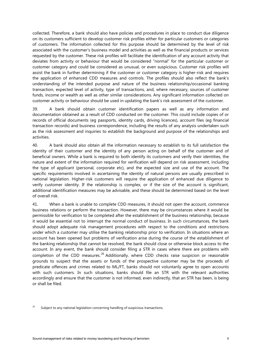collected. Therefore, a bank should also have policies and procedures in place to conduct due diligence on its customers sufficient to develop customer risk profiles either for particular customers or categories of customers. The information collected for this purpose should be determined by the level of risk associated with the customer's business model and activities as well as the financial products or services requested by the customer. These risk profiles will facilitate the identification of any account activity that deviates from activity or behaviour that would be considered "normal" for the particular customer or customer category and could be considered as unusual, or even suspicious. Customer risk profiles will assist the bank in further determining if the customer or customer category is higher-risk and requires the application of enhanced CDD measures and controls. The profiles should also reflect the bank's understanding of the intended purpose and nature of the business relationship/occasional banking transaction, expected level of activity, type of transactions, and, where necessary, sources of customer funds, income or wealth as well as other similar considerations. Any significant information collected on customer activity or behaviour should be used in updating the bank's risk assessment of the customer.

39. A bank should obtain customer identification papers as well as any information and documentation obtained as a result of CDD conducted on the customer. This could include copies of or records of official documents (eg passports, identity cards, driving licences), account files (eg financial transaction records) and business correspondence, including the results of any analysis undertaken such as the risk assessment and inquiries to establish the background and purpose of the relationships and activities.

40. A bank should also obtain all the information necessary to establish to its full satisfaction the identity of their customer and the identity of any person acting on behalf of the customer and of beneficial owners. While a bank is required to both identify its customers and verify their identities, the nature and extent of the information required for verification will depend on risk assessment, including the type of applicant (personal, corporate etc), and the expected size and use of the account. The specific requirements involved in ascertaining the identity of natural persons are usually prescribed in national legislation. Higher-risk customers will require the application of enhanced due diligence to verify customer identity. If the relationship is complex, or if the size of the account is significant, additional identification measures may be advisable, and these should be determined based on the level of overall risk.

41. When a bank is unable to complete CDD measures, it should not open the account, commence business relations or perform the transaction. However, there may be circumstances where it would be permissible for verification to be completed after the establishment of the business relationship, because it would be essential not to interrupt the normal conduct of business. In such circumstances, the bank should adopt adequate risk management procedures with respect to the conditions and restrictions under which a customer may utilise the banking relationship prior to verification. In situations where an account has been opened but problems of verification arise during the course of the establishment of the banking relationship that cannot be resolved, the bank should close or otherwise block access to the account. In any event, the bank should consider filing a STR in cases where there are problems with completion of the CDD measures.<sup>[26](#page-12-0)</sup> Additionally, where CDD checks raise suspicion or reasonable grounds to suspect that the assets or funds of the prospective customer may be the proceeds of predicate offences and crimes related to ML/FT, banks should not voluntarily agree to open accounts with such customers. In such situations, banks should file an STR with the relevant authorities accordingly and ensure that the customer is not informed, even indirectly, that an STR has been, is being or shall be filed.

<span id="page-12-0"></span> $26$  Subject to any national legislation concerning handling of suspicious transactions.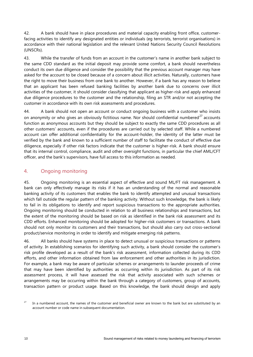42. A bank should have in place procedures and material capacity enabling front office, customerfacing activities to identify any designated entities or individuals (eg terrorists, terrorist organisations) in accordance with their national legislation and the relevant United Nations Security Council Resolutions (UNSCRs).

43. While the transfer of funds from an account in the customer's name in another bank subject to the same CDD standard as the initial deposit may provide some comfort, a bank should nevertheless conduct its own due diligence and consider the possibility that the previous account manager may have asked for the account to be closed because of a concern about illicit activities. Naturally, customers have the right to move their business from one bank to another. However, if a bank has any reason to believe that an applicant has been refused banking facilities by another bank due to concerns over illicit activities of the customer, it should consider classifying that applicant as higher-risk and apply enhanced due diligence procedures to the customer and the relationship, filing an STR and/or not accepting the customer in accordance with its own risk assessments and procedures.

44. A bank should not open an account or conduct ongoing business with a customer who insists on anonymity or who gives an obviously fictitious name. Nor should confidential numbered<sup>[27](#page-13-1)</sup> accounts function as anonymous accounts but they should be subject to exactly the same CDD procedures as all other customers' accounts, even if the procedures are carried out by selected staff. While a numbered account can offer additional confidentiality for the account-holder, the identity of the latter must be verified by the bank and known to a sufficient number of staff to facilitate the conduct of effective due diligence, especially if other risk factors indicate that the customer is higher-risk. A bank should ensure that its internal control, compliance, audit and other oversight functions, in particular the chief AML/CFT officer, and the bank's supervisors, have full access to this information as needed.

### <span id="page-13-0"></span>4. Ongoing monitoring

45. Ongoing monitoring is an essential aspect of effective and sound ML/FT risk management. A bank can only effectively manage its risks if it has an understanding of the normal and reasonable banking activity of its customers that enables the bank to identify attempted and unusual transactions which fall outside the regular pattern of the banking activity. Without such knowledge, the bank is likely to fail in its obligations to identify and report suspicious transactions to the appropriate authorities. Ongoing monitoring should be conducted in relation to all business relationships and transactions, but the extent of the monitoring should be based on risk as identified in the bank risk assessment and its CDD efforts. Enhanced monitoring should be adopted for higher-risk customers or transactions. A bank should not only monitor its customers and their transactions, but should also carry out cross-sectional product/service monitoring in order to identify and mitigate emerging risk patterns.

46. All banks should have systems in place to detect unusual or suspicious transactions or patterns of activity. In establishing scenarios for identifying such activity, a bank should consider the customer's risk profile developed as a result of the bank's risk assessment, information collected during its CDD efforts, and other information obtained from law enforcement and other authorities in its jurisdiction. For example, a bank may be aware of particular schemes or arrangements to launder proceeds of crime that may have been identified by authorities as occurring within its jurisdiction. As part of its risk assessment process, it will have assessed the risk that activity associated with such schemes or arrangements may be occurring within the bank through a category of customers, group of accounts, transaction pattern or product usage. Based on this knowledge, the bank should design and apply

<span id="page-13-1"></span>In a numbered account, the names of the customer and beneficial owner are known to the bank but are substituted by an account number or code name in subsequent documentation.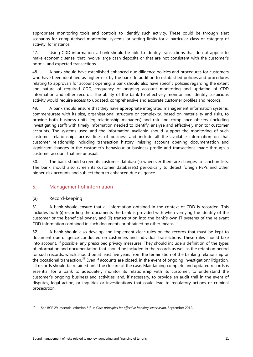appropriate monitoring tools and controls to identify such activity. These could be through alert scenarios for computerised monitoring systems or setting limits for a particular class or category of activity, for instance.

47. Using CDD information, a bank should be able to identify transactions that do not appear to make economic sense, that involve large cash deposits or that are not consistent with the customer's normal and expected transactions.

48. A bank should have established enhanced due diligence policies and procedures for customers who have been identified as higher-risk by the bank. In addition to established policies and procedures relating to approvals for account opening, a bank should also have specific policies regarding the extent and nature of required CDD, frequency of ongoing account monitoring and updating of CDD information and other records. The ability of the bank to effectively monitor and identify suspicious activity would require access to updated, comprehensive and accurate customer profiles and records.

49. A bank should ensure that they have appropriate integrated management information systems, commensurate with its size, organisational structure or complexity, based on materiality and risks, to provide both business units (eg relationship managers) and risk and compliance officers (including investigating staff) with timely information needed to identify, analyse and effectively monitor customer accounts. The systems used and the information available should support the monitoring of such customer relationships across lines of business and include all the available information on that customer relationship including transaction history, missing account opening documentation and significant changes in the customer's behaviour or business profile and transactions made through a customer account that are unusual.

50. The bank should screen its customer database(s) whenever there are changes to sanction lists. The bank should also screen its customer database(s) periodically to detect foreign PEPs and other higher-risk accounts and subject them to enhanced due diligence.

#### <span id="page-14-0"></span>5. Management of information

#### <span id="page-14-1"></span>(a) Record-keeping

51. A bank should ensure that all information obtained in the context of CDD is recorded. This includes both (i) recording the documents the bank is provided with when verifying the identity of the customer or the beneficial owner, and (ii) transcription into the bank's own IT systems of the relevant CDD information contained in such documents or obtained by other means.

52. A bank should also develop and implement clear rules on the records that must be kept to document due diligence conducted on customers and individual transactions. These rules should take into account, if possible, any prescribed privacy measures. They should include a definition of the types of information and documentation that should be included in the records as well as the retention period for such records, which should be at least five years from the termination of the banking relationship or the occasional transaction.<sup>[28](#page-14-2)</sup> Even if accounts are closed, in the event of ongoing investigation/ litigation, all records should be retained until the closure of the case. Maintaining complete and updated records is essential for a bank to adequately monitor its relationship with its customer, to understand the customer's ongoing business and activities, and, if necessary, to provide an audit trail in the event of disputes, legal action, or inquiries or investigations that could lead to regulatory actions or criminal prosecution.

<span id="page-14-2"></span><sup>28</sup> See BCP 29*,* essential criterion 5(f) in *Core principles for effective banking supervision*, September 2012.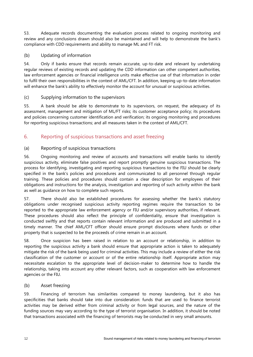53. Adequate records documenting the evaluation process related to ongoing monitoring and review and any conclusions drawn should also be maintained and will help to demonstrate the bank's compliance with CDD requirements and ability to manage ML and FT risk.

#### <span id="page-15-0"></span>(b) Updating of information

54. Only if banks ensure that records remain accurate, up-to-date and relevant by undertaking regular reviews of existing records and updating the CDD information can other competent authorities, law enforcement agencies or financial intelligence units make effective use of that information in order to fulfil their own responsibilities in the context of AML/CFT. In addition, keeping up-to-date information will enhance the bank's ability to effectively monitor the account for unusual or suspicious activities.

#### <span id="page-15-1"></span>(c) Supplying information to the supervisors

55. A bank should be able to demonstrate to its supervisors, on request, the adequacy of its assessment, management and mitigation of ML/FT risks; its customer acceptance policy; its procedures and policies concerning customer identification and verification; its ongoing monitoring and procedures for reporting suspicious transactions; and all measures taken in the context of AML/CFT.

### <span id="page-15-2"></span>6. Reporting of suspicious transactions and asset freezing

#### <span id="page-15-3"></span>(a) Reporting of suspicious transactions

56. Ongoing monitoring and review of accounts and transactions will enable banks to identify suspicious activity, eliminate false positives and report promptly genuine suspicious transactions. The process for identifying, investigating and reporting suspicious transactions to the FIU should be clearly specified in the bank's policies and procedures and communicated to all personnel through regular training. These policies and procedures should contain a clear description for employees of their obligations and instructions for the analysis, investigation and reporting of such activity within the bank as well as guidance on how to complete such reports.

57. There should also be established procedures for assessing whether the bank's statutory obligations under recognised suspicious activity reporting regimes require the transaction to be reported to the appropriate law enforcement agency or FIU and/or supervisory authorities, if relevant. These procedures should also reflect the principle of confidentiality, ensure that investigation is conducted swiftly and that reports contain relevant information and are produced and submitted in a timely manner. The chief AML/CFT officer should ensure prompt disclosures where funds or other property that is suspected to be the proceeds of crime remain in an account.

58. Once suspicion has been raised in relation to an account or relationship, in addition to reporting the suspicious activity a bank should ensure that appropriate action is taken to adequately mitigate the risk of the bank being used for criminal activities. This may include a review of either the risk classification of the customer or account or of the entire relationship itself. Appropriate action may necessitate escalation to the appropriate level of decision-maker to determine how to handle the relationship, taking into account any other relevant factors, such as cooperation with law enforcement agencies or the FIU.

#### <span id="page-15-4"></span>(b) Asset freezing

59. Financing of terrorism has similarities compared to money laundering, but it also has specificities that banks should take into due consideration: funds that are used to finance terrorist activities may be derived either from criminal activity or from legal sources, and the nature of the funding sources may vary according to the type of terrorist organisation. In addition, it should be noted that transactions associated with the financing of terrorists may be conducted in very small amounts.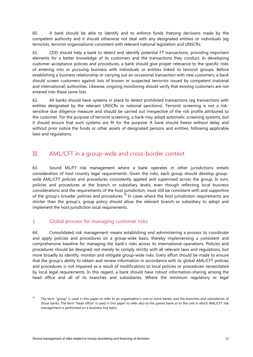60. A bank should be able to identify and to enforce funds freezing decisions made by the competent authority and it should otherwise not deal with any designated entities or individuals (eg terrorists, terrorist organisations) consistent with relevant national legislation and UNSCRs.

61. CDD should help a bank to detect and identify potential FT transactions, providing important elements for a better knowledge of its customers and the transactions they conduct. In developing customer acceptance policies and procedures, a bank should give proper relevance to the specific risks of entering into or pursuing business with individuals or entities linked to terrorist groups. Before establishing a business relationship or carrying out an occasional transaction with new customers, a bank should screen customers against lists of known or suspected terrorists issued by competent (national and international) authorities. Likewise, ongoing monitoring should verify that existing customers are not entered into these same lists.

62. All banks should have systems in place to detect prohibited transactions (eg transactions with entities designated by the relevant UNSCRs or national sanctions). Terrorist screening is not a risksensitive due diligence measure and should be carried out irrespective of the risk profile attributed to the customer. For the purpose of terrorist screening, a bank may adopt automatic screening systems, but it should ensure that such systems are fit for the purpose. A bank should freeze without delay and without prior notice the funds or other assets of designated persons and entities, following applicable laws and regulations.

### <span id="page-16-0"></span>III. AML/CFT in a group-wide and cross-border context

63. Sound ML/FT risk management where a bank operates in other jurisdictions entails consideration of host country legal requirements. Given the risks, each group should develop groupwide AML/CFT policies and procedures consistently applied and supervised across the group. In turn, policies and procedures at the branch or subsidiary levels, even though reflecting local business considerations and the requirements of the host jurisdiction, must still be consistent with and supportive of the group's broader policies and procedures.<sup>[29](#page-16-2)</sup> In cases where the host jurisdiction requirements are stricter than the group's, group policy should allow the relevant branch or subsidiary to adopt and implement the host jurisdiction local requirements.

### <span id="page-16-1"></span>1. Global process for managing customer risks

64. Consolidated risk management means establishing and administering a process to coordinate and apply policies and procedures on a group-wide basis, thereby implementing a consistent and comprehensive baseline for managing the bank's risks across its international operations. Policies and procedures should be designed not merely to comply strictly with all relevant laws and regulations, but more broadly to identify, monitor and mitigate group-wide risks. Every effort should be made to ensure that the group's ability to obtain and review information in accordance with its global AML/CFT policies and procedures is not impaired as a result of modifications to local policies or procedures necessitated by local legal requirements. In this regard, a bank should have robust information-sharing among the head office and all of its branches and subsidiaries. Where the minimum regulatory or legal

<span id="page-16-2"></span> $29$  The term "group" is used in this paper to refer to an organisation's one or more banks, and the branches and subsidiaries of those banks. The term "head office" is used in this paper to refer also to the parent bank or to the unit in which AML/CFT risk management is performed on a business line basis.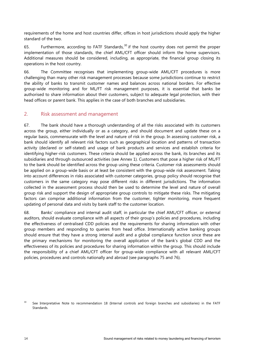requirements of the home and host countries differ, offices in host jurisdictions should apply the higher standard of the two.

65. Furthermore, according to FATF Standards,  $30$  if the host country does not permit the proper implementation of those standards, the chief AML/CFT officer should inform the home supervisors. Additional measures should be considered, including, as appropriate, the financial group closing its operations in the host country.

66. The Committee recognises that implementing group-wide AML/CFT procedures is more challenging than many other risk management processes because some jurisdictions continue to restrict the ability of banks to transmit customer names and balances across national borders. For effective group-wide monitoring and for ML/FT risk management purposes, it is essential that banks be authorised to share information about their customers, subject to adequate legal protection, with their head offices or parent bank. This applies in the case of both branches and subsidiaries.

#### <span id="page-17-0"></span>2. Risk assessment and management

67. The bank should have a thorough understanding of all the risks associated with its customers across the group, either individually or as a category, and should document and update these on a regular basis, commensurate with the level and nature of risk in the group. In assessing customer risk, a bank should identify all relevant risk factors such as geographical location and patterns of transaction activity (declared or self-stated) and usage of bank products and services and establish criteria for identifying higher-risk customers. These criteria should be applied across the bank, its branches and its subsidiaries and through outsourced activities (see Annex 1). Customers that pose a higher risk of ML/FT to the bank should be identified across the group using these criteria. Customer risk assessments should be applied on a group-wide basis or at least be consistent with the group-wide risk assessment. Taking into account differences in risks associated with customer categories, group policy should recognise that customers in the same category may pose different risks in different jurisdictions. The information collected in the assessment process should then be used to determine the level and nature of overall group risk and support the design of appropriate group controls to mitigate these risks. The mitigating factors can comprise additional information from the customer, tighter monitoring, more frequent updating of personal data and visits by bank staff to the customer location.

68. Banks' compliance and internal audit staff, in particular the chief AML/CFT officer, or external auditors, should evaluate compliance with all aspects of their group's policies and procedures, including the effectiveness of centralised CDD policies and the requirements for sharing information with other group members and responding to queries from head office. Internationally active banking groups should ensure that they have a strong internal audit and a global compliance function since these are the primary mechanisms for monitoring the overall application of the bank's global CDD and the effectiveness of its policies and procedures for sharing information within the group. This should include the responsibility of a chief AML/CFT officer for group-wide compliance with all relevant AML/CFT policies, procedures and controls nationally and abroad (see paragraphs 75 and 76).

<span id="page-17-1"></span><sup>&</sup>lt;sup>30</sup> See Interpretative Note to recommendation 18 (Internal controls and foreign branches and subsidiaries) in the FATF **Standards**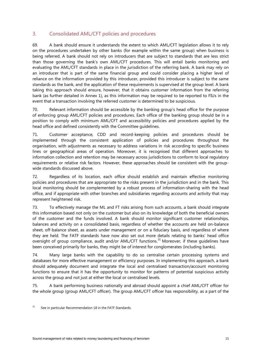### <span id="page-18-0"></span>3. Consolidated AML/CFT policies and procedures

69. A bank should ensure it understands the extent to which AML/CFT legislation allows it to rely on the procedures undertaken by other banks (for example within the same group) when business is being referred. A bank should not rely on introducers that are subject to standards that are less strict than those governing the bank's own AML/CFT procedures. This will entail banks monitoring and evaluating the AML/CFT standards in place in the jurisdiction of the referring bank. A bank may rely on an introducer that is part of the same financial group and could consider placing a higher level of reliance on the information provided by this introducer, provided this introducer is subject to the same standards as the bank, and the application of these requirements is supervised at the group level. A bank taking this approach should ensure, however, that it obtains customer information from the referring bank (as further detailed in Annex 1), as this information may be required to be reported to FIUs in the event that a transaction involving the referred customer is determined to be suspicious.

70. Relevant information should be accessible by the banking group's head office for the purpose of enforcing group AML/CFT policies and procedures. Each office of the banking group should be in a position to comply with minimum AML/CFT and accessibility policies and procedures applied by the head office and defined consistently with the Committee guidelines.

71. Customer acceptance, CDD and record-keeping policies and procedures should be implemented through the consistent application of policies and procedures throughout the organisation, with adjustments as necessary to address variations in risk according to specific business lines or geographical areas of operation. Moreover, it is recognised that different approaches to information collection and retention may be necessary across jurisdictions to conform to local regulatory requirements or relative risk factors. However, these approaches should be consistent with the groupwide standards discussed above.

72. Regardless of its location, each office should establish and maintain effective monitoring policies and procedures that are appropriate to the risks present in the jurisdiction and in the bank. This local monitoring should be complemented by a robust process of information-sharing with the head office, and if appropriate with other branches and subsidiaries regarding accounts and activity that may represent heightened risk.

73. To effectively manage the ML and FT risks arising from such accounts, a bank should integrate this information based not only on the customer but also on its knowledge of both the beneficial owners of the customer and the funds involved. A bank should monitor significant customer relationships, balances and activity on a consolidated basis, regardless of whether the accounts are held on-balance sheet, off-balance sheet, as assets under management or on a fiduciary basis, and regardless of where they are held. The FATF standards have now also set out more details relating to banks' head office oversight of group compliance, audit and/or AML/CFT functions.<sup>[31](#page-18-1)</sup> Moreover, if these guidelines have been conceived primarily for banks, they might be of interest for conglomerates (including banks).

74. Many large banks with the capability to do so centralise certain processing systems and databases for more effective management or efficiency purposes. In implementing this approach, a bank should adequately document and integrate the local and centralised transaction/account monitoring functions to ensure that it has the opportunity to monitor for patterns of potential suspicious activity across the group and not just at either the local or centralised levels.

75. A bank performing business nationally and abroad should appoint a chief AML/CFT officer for the whole group (group AML/CFT officer). The group AML/CFT officer has responsibility, as a part of the

<span id="page-18-1"></span> $31$  See in particular Recommendation 18 in the FATF Standards.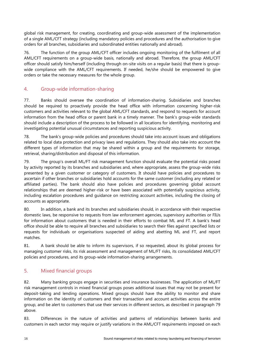global risk management, for creating, coordinating and group-wide assessment of the implementation of a single AML/CFT strategy (including mandatory policies and procedures and the authorisation to give orders for all branches, subsidiaries and subordinated entities nationally and abroad).

76. The function of the group AML/CFT officer includes ongoing monitoring of the fulfilment of all AML/CFT requirements on a group-wide basis, nationally and abroad. Therefore, the group AML/CFT officer should satisfy him/herself (including through on-site visits on a regular basis) that there is groupwide compliance with the AML/CFT requirements. If needed, he/she should be empowered to give orders or take the necessary measures for the whole group.

### <span id="page-19-0"></span>4. Group-wide information-sharing

77. Banks should oversee the coordination of information-sharing. Subsidiaries and branches should be required to proactively provide the head office with information concerning higher-risk customers and activities relevant to the global AML/CFT standards, and respond to requests for account information from the head office or parent bank in a timely manner. The bank's group-wide standards should include a description of the process to be followed in all locations for identifying, monitoring and investigating potential unusual circumstances and reporting suspicious activity.

78. The bank's group-wide policies and procedures should take into account issues and obligations related to local data protection and privacy laws and regulations. They should also take into account the different types of information that may be shared within a group and the requirements for storage, retrieval, sharing/distribution and disposal of this information.

79. The group's overall ML/FT risk management function should evaluate the potential risks posed by activity reported by its branches and subsidiaries and, where appropriate, assess the group-wide risks presented by a given customer or category of customers. It should have policies and procedures to ascertain if other branches or subsidiaries hold accounts for the same customer (including any related or affiliated parties). The bank should also have policies and procedures governing global account relationships that are deemed higher-risk or have been associated with potentially suspicious activity, including escalation procedures and guidance on restricting account activities, including the closing of accounts as appropriate.

80. In addition, a bank and its branches and subsidiaries should, in accordance with their respective domestic laws, be responsive to requests from law enforcement agencies, supervisory authorities or FIUs for information about customers that is needed in their efforts to combat ML and FT. A bank's head office should be able to require all branches and subsidiaries to search their files against specified lists or requests for individuals or organisations suspected of aiding and abetting ML and FT, and report matches.

81. A bank should be able to inform its supervisors, if so requested, about its global process for managing customer risks, its risk assessment and management of ML/FT risks, its consolidated AML/CFT policies and procedures, and its group-wide information-sharing arrangements.

### <span id="page-19-1"></span>5. Mixed financial groups

82. Many banking groups engage in securities and insurance businesses. The application of ML/FT risk management controls in mixed financial groups poses additional issues that may not be present for deposit-taking and lending operations. Mixed groups should have the ability to monitor and share information on the identity of customers and their transaction and account activities across the entire group, and be alert to customers that use their services in different sectors, as described in paragraph 79 above.

83. Differences in the nature of activities and patterns of relationships between banks and customers in each sector may require or justify variations in the AML/CFT requirements imposed on each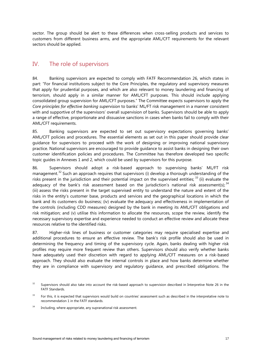sector. The group should be alert to these differences when cross-selling products and services to customers from different business arms, and the appropriate AML/CFT requirements for the relevant sectors should be applied.

### <span id="page-20-0"></span>IV. The role of supervisors

84. Banking supervisors are expected to comply with FATF Recommendation 26, which states in part: "For financial institutions subject to the Core Principles, the regulatory and supervisory measures that apply for prudential purposes, and which are also relevant to money laundering and financing of terrorism, should apply in a similar manner for AML/CFT purposes. This should include applying consolidated group supervision for AML/CFT purposes." The Committee expects supervisors to apply the *Core principles for effective banking supervision* to banks' ML/FT risk management in a manner consistent with and supportive of the supervisors' overall supervision of banks. Supervisors should be able to apply a range of effective, proportionate and dissuasive sanctions in cases when banks fail to comply with their AML/CFT requirements.

85. Banking supervisors are expected to set out supervisory expectations governing banks' AML/CFT policies and procedures. The essential elements as set out in this paper should provide clear guidance for supervisors to proceed with the work of designing or improving national supervisory practice. National supervisors are encouraged to provide guidance to assist banks in designing their own customer identification policies and procedures. The Committee has therefore developed two specific topic guides in Annexes 1 and 2, which could be used by supervisors for this purpose.

86. Supervisors should adopt a risk-based approach to supervising banks' ML/FT risk management.<sup>[32](#page-20-1)</sup> Such an approach requires that supervisors (i) develop a thorough understanding of the risks present in the jurisdiction and their potential impact on the supervised entities;  $33$  (ii) evaluate the adequacy of the bank's risk assessment based on the jurisdiction's national risk assessment(s);  $^{34}$  $^{34}$  $^{34}$ (iii) assess the risks present in the target supervised entity to understand the nature and extent of the risks in the entity's customer base, products and services and the geographical locations in which the bank and its customers do business; (iv) evaluate the adequacy and effectiveness in implementation of the controls (including CDD measures) designed by the bank in meeting its AML/CFT obligations and risk mitigation; and (v) utilise this information to allocate the resources, scope the review, identify the necessary supervisory expertise and experience needed to conduct an effective review and allocate these resources relative to the identified risks.

87. Higher-risk lines of business or customer categories may require specialised expertise and additional procedures to ensure an effective review. The bank's risk profile should also be used in determining the frequency and timing of the supervisory cycle. Again, banks dealing with higher risk profiles may require more frequent review than others. Supervisors should also verify whether banks have adequately used their discretion with regard to applying AML/CFT measures on a risk-based approach. They should also evaluate the internal controls in place and how banks determine whether they are in compliance with supervisory and regulatory guidance, and prescribed obligations. The

<span id="page-20-1"></span><sup>&</sup>lt;sup>32</sup> Supervisors should also take into account the risk-based approach to supervision described in Interpretive Note 26 in the FATF Standards.

<span id="page-20-2"></span><sup>&</sup>lt;sup>33</sup> For this, it is expected that supervisors would build on countries' assessment such as described in the interpretative note to recommendation 1 in the FATF standards.

<span id="page-20-3"></span> $34$  Including, where appropriate, any supranational risk assessment.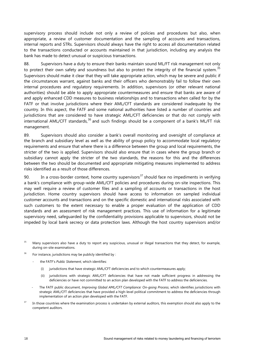supervisory process should include not only a review of policies and procedures but also, when appropriate, a review of customer documentation and the sampling of accounts and transactions, internal reports and STRs. Supervisors should always have the right to access all documentation related to the transactions conducted or accounts maintained in that jurisdiction, including any analysis the bank has made to detect unusual or suspicious transactions.

88. Supervisors have a duty to ensure their banks maintain sound ML/FT risk management not only to protect their own safety and soundness but also to protect the integrity of the financial system.<sup>[35](#page-21-0)</sup> Supervisors should make it clear that they will take appropriate action, which may be severe and public if the circumstances warrant, against banks and their officers who demonstrably fail to follow their own internal procedures and regulatory requirements. In addition, supervisors (or other relevant national authorities) should be able to apply appropriate countermeasures and ensure that banks are aware of and apply enhanced CDD measures to business relationships and to transactions when called for by the FATF or that involve jurisdictions where their AML/CFT standards are considered inadequate by the country. In this aspect, the FATF and some national authorities have listed a number of countries and jurisdictions that are considered to have strategic AML/CFT deficiencies or that do not comply with international AML/CFT standards,<sup>[36](#page-21-1)</sup> and such findings should be a component of a bank's ML/FT risk management.

89. Supervisors should also consider a bank's overall monitoring and oversight of compliance at the branch and subsidiary level as well as the ability of group policy to accommodate local regulatory requirements and ensure that where there is a difference between the group and local requirements, the stricter of the two is applied. Supervisors should also ensure that in cases where the group branch or subsidiary cannot apply the stricter of the two standards, the reasons for this and the differences between the two should be documented and appropriate mitigating measures implemented to address risks identified as a result of those differences.

90. In a cross-border context, home country supervisors<sup>[37](#page-21-2)</sup> should face no impediments in verifying a bank's compliance with group-wide AML/CFT policies and procedures during on-site inspections. This may well require a review of customer files and a sampling of accounts or transactions in the host jurisdiction. Home country supervisors should have access to information on sampled individual customer accounts and transactions and on the specific domestic and international risks associated with such customers to the extent necessary to enable a proper evaluation of the application of CDD standards and an assessment of risk management practices. This use of information for a legitimate supervisory need, safeguarded by the confidentiality provisions applicable to supervisors, should not be impeded by local bank secrecy or data protection laws. Although the host country supervisors and/or

<span id="page-21-0"></span><sup>35</sup> Many supervisors also have a duty to report any suspicious, unusual or illegal transactions that they detect, for example, during on-site examinations.

<span id="page-21-1"></span> $36$  For instance, jurisdictions may be publicly identified by :

- the FATF's Public Statement, which identifies:
	- (i) jurisdictions that have strategic AML/CFT deficiencies and to which countermeasures apply;
	- (ii) jurisdictions with strategic AML/CFT deficiencies that have not made sufficient progress in addressing the deficiencies or have not committed to an action plan developed with the FATF to address the deficiencies.
- The FATF public document, *Improving Global AML/CFT Compliance: On-going Process*, which identifies jurisdictions with strategic AML/CFT deficiencies that have provided a high-level political commitment to address the deficiencies through implementation of an action plan developed with the FATF.
- <span id="page-21-2"></span><sup>37</sup> In those countries where the examination process is undertaken by external auditors, this exemption should also apply to the competent auditors.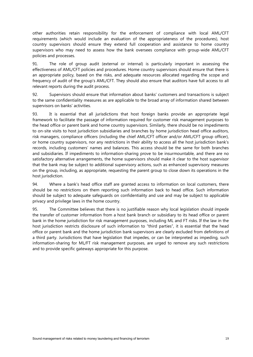other authorities retain responsibility for the enforcement of compliance with local AML/CFT requirements (which would include an evaluation of the appropriateness of the procedures), host country supervisors should ensure they extend full cooperation and assistance to home country supervisors who may need to assess how the bank oversees compliance with group-wide AML/CFT policies and processes.

91. The role of group audit (external or internal) is particularly important in assessing the effectiveness of AML/CFT policies and procedures. Home country supervisors should ensure that there is an appropriate policy, based on the risks, and adequate resources allocated regarding the scope and frequency of audit of the group's AML/CFT. They should also ensure that auditors have full access to all relevant reports during the audit process.

92. Supervisors should ensure that information about banks' customers and transactions is subject to the same confidentiality measures as are applicable to the broad array of information shared between supervisors on banks' activities.

93. It is essential that all jurisdictions that host foreign banks provide an appropriate legal framework to facilitate the passage of information required for customer risk management purposes to the head office or parent bank and home country supervisors. Similarly, there should be no impediments to on-site visits to host jurisdiction subsidiaries and branches by home jurisdiction head office auditors, risk managers, compliance officers (including the chief AML/CFT officer and/or AML/CFT group officer), or home country supervisors, nor any restrictions in their ability to access all the host jurisdiction bank's records, including customers' names and balances. This access should be the same for both branches and subsidiaries. If impediments to information-sharing prove to be insurmountable, and there are no satisfactory alternative arrangements, the home supervisors should make it clear to the host supervisor that the bank may be subject to additional supervisory actions, such as enhanced supervisory measures on the group, including, as appropriate, requesting the parent group to close down its operations in the host jurisdiction.

94. Where a bank's head office staff are granted access to information on local customers, there should be no restrictions on them reporting such information back to head office. Such information should be subject to adequate safeguards on confidentiality and use and may be subject to applicable privacy and privilege laws in the home country.

95. The Committee believes that there is no justifiable reason why local legislation should impede the transfer of customer information from a host bank branch or subsidiary to its head office or parent bank in the home jurisdiction for risk management purposes, including ML and FT risks. If the law in the host jurisdiction restricts disclosure of such information to "third parties", it is essential that the head office or parent bank and the home jurisdiction bank supervisors are clearly excluded from definitions of a third party. Jurisdictions that have legislation that impedes, or can be interpreted as impeding, such information-sharing for ML/FT risk management purposes, are urged to remove any such restrictions and to provide specific gateways appropriate for this purpose.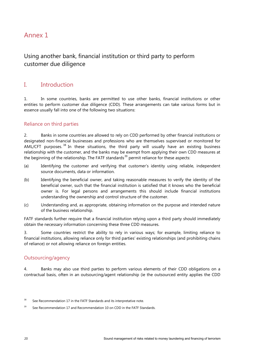# <span id="page-23-0"></span>Annex 1

## Using another bank, financial institution or third party to perform customer due diligence

### I. Introduction

1. In some countries, banks are permitted to use other banks, financial institutions or other entities to perform customer due diligence (CDD). These arrangements can take various forms but in essence usually fall into one of the following two situations:

### Reliance on third parties

2. Banks in some countries are allowed to rely on CDD performed by other financial institutions or designated non-financial businesses and professions who are themselves supervised or monitored for AML/CFT purposes.<sup>[38](#page-23-1)</sup> In these situations, the third party will usually have an existing business relationship with the customer, and the banks may be exempt from applying their own CDD measures at the beginning of the relationship. The FATF standards<sup>[39](#page-23-2)</sup> permit reliance for these aspects:

- (a) Identifying the customer and verifying that customer's identity using reliable, independent source documents, data or information.
- (b) Identifying the beneficial owner, and taking reasonable measures to verify the identity of the beneficial owner, such that the financial institution is satisfied that it knows who the beneficial owner is. For legal persons and arrangements this should include financial institutions understanding the ownership and control structure of the customer.
- (c) Understanding and, as appropriate, obtaining information on the purpose and intended nature of the business relationship.

FATF standards further require that a financial institution relying upon a third party should immediately obtain the necessary information concerning these three CDD measures.

3. Some countries restrict the ability to rely in various ways; for example, limiting reliance to financial institutions, allowing reliance only for third parties' existing relationships (and prohibiting chains of reliance) or not allowing reliance on foreign entities.

#### Outsourcing/agency

4. Banks may also use third parties to perform various elements of their CDD obligations on a contractual basis, often in an outsourcing/agent relationship (ie the outsourced entity applies the CDD

<span id="page-23-1"></span> $38$  See Recommendation 17 in the FATF Standards and its interpretative note.

<span id="page-23-2"></span> $39$  See Recommendation 17 and Recommendation 10 on CDD in the FATF Standards.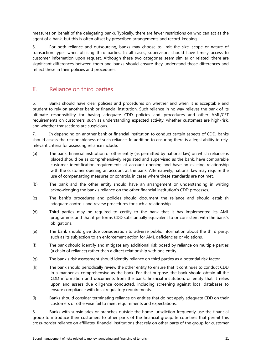measures on behalf of the delegating bank). Typically, there are fewer restrictions on who can act as the agent of a bank, but this is often offset by prescribed arrangements and record-keeping.

5. For both reliance and outsourcing, banks may choose to limit the size, scope or nature of transaction types when utilising third parties. In all cases, supervisors should have timely access to customer information upon request. Although these two categories seem similar or related, there are significant differences between them and banks should ensure they understand those differences and reflect these in their policies and procedures.

### II. Reliance on third parties

6. Banks should have clear policies and procedures on whether and when it is acceptable and prudent to rely on another bank or financial institution. Such reliance in no way relieves the bank of its ultimate responsibility for having adequate CDD policies and procedures and other AML/CFT requirements on customers, such as understanding expected activity, whether customers are high-risk, and whether transactions are suspicious.

7. In depending on another bank or financial institution to conduct certain aspects of CDD, banks should assess the reasonableness of such reliance. In addition to ensuring there is a legal ability to rely, relevant criteria for assessing reliance include:

- (a) The bank, financial institution or other entity (as permitted by national law) on which reliance is placed should be as comprehensively regulated and supervised as the bank, have comparable customer identification requirements at account opening and have an existing relationship with the customer opening an account at the bank. Alternatively, national law may require the use of compensating measures or controls, in cases where these standards are not met.
- (b) The bank and the other entity should have an arrangement or understanding in writing acknowledging the bank's reliance on the other financial institution's CDD processes.
- (c) The bank's procedures and policies should document the reliance and should establish adequate controls and review procedures for such a relationship.
- (d) Third parties may be required to certify to the bank that it has implemented its AML programme, and that it performs CDD substantially equivalent to or consistent with the bank`s obligations.
- (e) The bank should give due consideration to adverse public information about the third party, such as its subjection to an enforcement action for AML deficiencies or violations.
- (f) The bank should identify and mitigate any additional risk posed by reliance on multiple parties (a chain of reliance) rather than a direct relationship with one entity.
- (g) The bank's risk assessment should identify reliance on third parties as a potential risk factor.
- (h) The bank should periodically review the other entity to ensure that it continues to conduct CDD in a manner as comprehensive as the bank. For that purpose, the bank should obtain all the CDD information and documents from the bank, financial institution, or entity that it relies upon and assess due diligence conducted, including screening against local databases to ensure compliance with local regulatory requirements.
- (i) Banks should consider terminating reliance on entities that do not apply adequate CDD on their customers or otherwise fail to meet requirements and expectations.

8. Banks with subsidiaries or branches outside the home jurisdiction frequently use the financial group to introduce their customers to other parts of the financial group. In countries that permit this cross-border reliance on affiliates, financial institutions that rely on other parts of the group for customer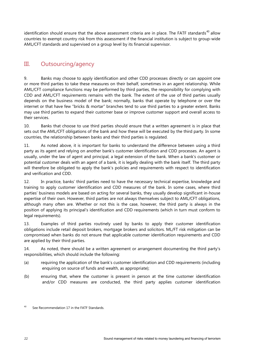identification should ensure that the above assessment criteria are in place. The FATF standards<sup>[40](#page-25-0)</sup> allow countries to exempt country risk from this assessment if the financial institution is subject to group-wide AML/CFT standards and supervised on a group level by its financial supervisor.

# III. Outsourcing/agency

9. Banks may choose to apply identification and other CDD processes directly or can appoint one or more third parties to take these measures on their behalf, sometimes in an agent relationship. While AML/CFT compliance functions may be performed by third parties, the responsibility for complying with CDD and AML/CFT requirements remains with the bank. The extent of the use of third parties usually depends on the business model of the bank; normally, banks that operate by telephone or over the internet or that have few "bricks & mortar" branches tend to use third parties to a greater extent. Banks may use third parties to expand their customer base or improve customer support and overall access to their services.

10. Banks that choose to use third parties should ensure that a written agreement is in place that sets out the AML/CFT obligations of the bank and how these will be executed by the third party. In some countries, the relationship between banks and their third parties is regulated.

11. As noted above, it is important for banks to understand the difference between using a third party as its agent and relying on another bank's customer identification and CDD processes. An agent is usually, under the law of agent and principal, a legal extension of the bank. When a bank's customer or potential customer deals with an agent of a bank, it is legally dealing with the bank itself. The third party will therefore be obligated to apply the bank's policies and requirements with respect to identification and verification and CDD.

12. In practice, banks' third parties need to have the necessary technical expertise, knowledge and training to apply customer identification and CDD measures of the bank. In some cases, where third parties' business models are based on acting for several banks, they usually develop significant in-house expertise of their own. However, third parties are not always themselves subject to AML/CFT obligations, although many often are. Whether or not this is the case, however, the third party is always in the position of applying its principal's identification and CDD requirements (which in turn must conform to legal requirements).

13. Examples of third parties routinely used by banks to apply their customer identification obligations include retail deposit brokers, mortgage brokers and solicitors. ML/FT risk mitigation can be compromised when banks do not ensure that applicable customer identification requirements and CDD are applied by their third parties.

14. As noted, there should be a written agreement or arrangement documenting the third party's responsibilities, which should include the following:

- (a) requiring the application of the bank's customer identification and CDD requirements (including enquiring on source of funds and wealth, as appropriate);
- (b) ensuring that, where the customer is present in person at the time customer identification and/or CDD measures are conducted, the third party applies customer identification

<span id="page-25-0"></span><sup>&</sup>lt;sup>40</sup> See Recommendation 17 in the FATF Standards.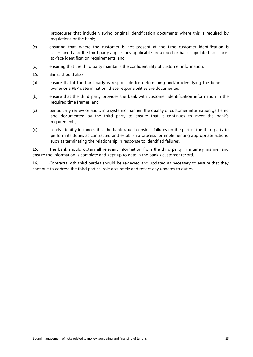procedures that include viewing original identification documents where this is required by regulations or the bank;

- (c) ensuring that, where the customer is not present at the time customer identification is ascertained and the third party applies any applicable prescribed or bank-stipulated non-faceto-face identification requirements; and
- (d) ensuring that the third party maintains the confidentiality of customer information.
- 15. Banks should also:
- (a) ensure that if the third party is responsible for determining and/or identifying the beneficial owner or a PEP determination, these responsibilities are documented;
- (b) ensure that the third party provides the bank with customer identification information in the required time frames; and
- (c) periodically review or audit, in a systemic manner, the quality of customer information gathered and documented by the third party to ensure that it continues to meet the bank's requirements;
- (d) clearly identify instances that the bank would consider failures on the part of the third party to perform its duties as contracted and establish a process for implementing appropriate actions, such as terminating the relationship in response to identified failures.

15. The bank should obtain all relevant information from the third party in a timely manner and ensure the information is complete and kept up to date in the bank's customer record.

16. Contracts with third parties should be reviewed and updated as necessary to ensure that they continue to address the third parties' role accurately and reflect any updates to duties.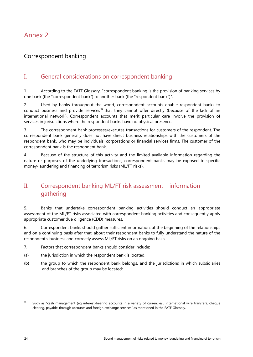# <span id="page-27-0"></span>Annex 2

### Correspondent banking

### I. General considerations on correspondent banking

1. According to the FATF Glossary, "correspondent banking is the provision of banking services by one bank (the "correspondent bank") to another bank (the "respondent bank")".

2. Used by banks throughout the world, correspondent accounts enable respondent banks to conduct business and provide services<sup>[41](#page-27-1)</sup> that they cannot offer directly (because of the lack of an international network). Correspondent accounts that merit particular care involve the provision of services in jurisdictions where the respondent banks have no physical presence.

3. The correspondent bank processes/executes transactions for customers of the respondent. The correspondent bank generally does not have direct business relationships with the customers of the respondent bank, who may be individuals, corporations or financial services firms. The customer of the correspondent bank is the respondent bank.

4. Because of the structure of this activity and the limited available information regarding the nature or purposes of the underlying transactions, correspondent banks may be exposed to specific money-laundering and financing of terrorism risks (ML/FT risks).

# II. Correspondent banking ML/FT risk assessment – information gathering

5. Banks that undertake correspondent banking activities should conduct an appropriate assessment of the ML/FT risks associated with correspondent banking activities and consequently apply appropriate customer due diligence (CDD) measures.

6. Correspondent banks should gather sufficient information, at the beginning of the relationships and on a continuing basis after that, about their respondent banks to fully understand the nature of the respondent's business and correctly assess ML/FT risks on an ongoing basis.

- 7. Factors that correspondent banks should consider include:
- (a) the jurisdiction in which the respondent bank is located;
- (b) the group to which the respondent bank belongs, and the jurisdictions in which subsidiaries and branches of the group may be located;

<span id="page-27-1"></span><sup>&</sup>lt;sup>41</sup> Such as "cash management (eg interest-bearing accounts in a variety of currencies), international wire transfers, cheque clearing, payable-through accounts and foreign exchange services" as mentioned in the FATF Glossary.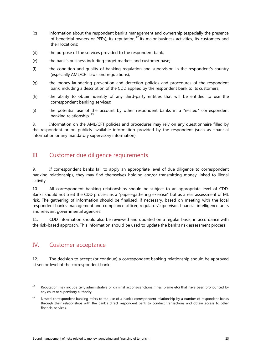- (c) information about the respondent bank's management and ownership (especially the presence of beneficial owners or PEPs), its reputation,<sup>[42](#page-28-0)</sup> its major business activities, its customers and their locations;
- (d) the purpose of the services provided to the respondent bank;
- (e) the bank's business including target markets and customer base;
- (f) the condition and quality of banking regulation and supervision in the respondent's country (especially AML/CFT laws and regulations);
- (g) the money-laundering prevention and detection policies and procedures of the respondent bank, including a description of the CDD applied by the respondent bank to its customers;
- (h) the ability to obtain identity of any third-party entities that will be entitled to use the correspondent banking services;
- (i) the potential use of the account by other respondent banks in a "nested" correspondent banking relationship. [43](#page-28-1)

8. Information on the AML/CFT policies and procedures may rely on any questionnaire filled by the respondent or on publicly available information provided by the respondent (such as financial information or any mandatory supervisory information).

### III. Customer due diligence requirements

9. If correspondent banks fail to apply an appropriate level of due diligence to correspondent banking relationships, they may find themselves holding and/or transmitting money linked to illegal activity.

10. All correspondent banking relationships should be subject to an appropriate level of CDD. Banks should not treat the CDD process as a "paper-gathering exercise" but as a real assessment of ML risk. The gathering of information should be finalised, if necessary, based on meeting with the local respondent bank's management and compliance officer, regulator/supervisor, financial intelligence units and relevant governmental agencies.

11. CDD information should also be reviewed and updated on a regular basis, in accordance with the risk-based approach. This information should be used to update the bank's risk assessment process.

### IV. Customer acceptance

12. The decision to accept (or continue) a correspondent banking relationship should be approved at senior level of the correspondent bank.

<span id="page-28-0"></span><sup>42</sup> Reputation may include civil, administrative or criminal actions/sanctions (fines, blame etc) that have been pronounced by any court or supervisory authority.

<span id="page-28-1"></span><sup>&</sup>lt;sup>43</sup> Nested correspondent banking refers to the use of a bank's correspondent relationship by a number of respondent banks through their relationships with the bank's direct respondent bank to conduct transactions and obtain access to other financial services.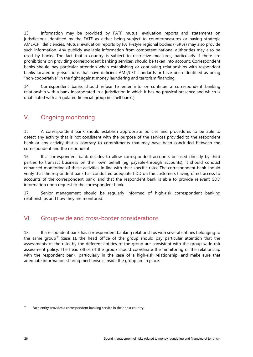13. Information may be provided by FATF mutual evaluation reports and statements on jurisdictions identified by the FATF as either being subject to countermeasures or having strategic AML/CFT deficiencies. Mutual evaluation reports by FATF-style regional bodies (FSRBs) may also provide such information. Any publicly available information from competent national authorities may also be used by banks. The fact that a country is subject to restrictive measures, particularly if there are prohibitions on providing correspondent banking services, should be taken into account. Correspondent banks should pay particular attention when establishing or continuing relationships with respondent banks located in jurisdictions that have deficient AML/CFT standards or have been identified as being "non-cooperative" in the fight against money laundering and terrorism financing.

14. Correspondent banks should refuse to enter into or continue a correspondent banking relationship with a bank incorporated in a jurisdiction in which it has no physical presence and which is unaffiliated with a regulated financial group (ie shell banks).

### V. Ongoing monitoring

15. A correspondent bank should establish appropriate policies and procedures to be able to detect any activity that is not consistent with the purpose of the services provided to the respondent bank or any activity that is contrary to commitments that may have been concluded between the correspondent and the respondent.

16. If a correspondent bank decides to allow correspondent accounts be used directly by third parties to transact business on their own behalf (eg payable-through accounts), it should conduct enhanced monitoring of these activities in line with their specific risks. The correspondent bank should verify that the respondent bank has conducted adequate CDD on the customers having direct access to accounts of the correspondent bank, and that the respondent bank is able to provide relevant CDD information upon request to the correspondent bank.

17. Senior management should be regularly informed of high-risk correspondent banking relationships and how they are monitored.

### VI. Group-wide and cross-border considerations

18. If a respondent bank has correspondent banking relationships with several entities belonging to the same group<sup>[44](#page-29-0)</sup> (case 1), the head office of the group should pay particular attention that the assessments of the risks by the different entities of the group are consistent with the group-wide risk assessment policy. The head office of the group should coordinate the monitoring of the relationship with the respondent bank, particularly in the case of a high-risk relationship, and make sure that adequate information-sharing mechanisms inside the group are in place.

<span id="page-29-0"></span><sup>&</sup>lt;sup>44</sup> Each entity provides a correspondent banking service in their host country.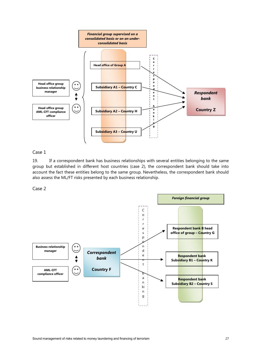

#### Case 1

19. If a correspondent bank has business relationships with several entities belonging to the same group but established in different host countries (case 2), the correspondent bank should take into account the fact these entities belong to the same group. Nevertheless, the correspondent bank should also assess the ML/FT risks presented by each business relationship.

Case 2

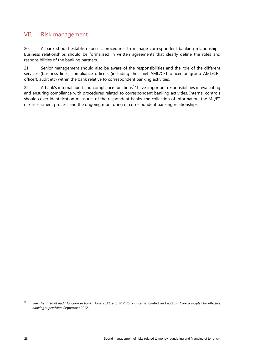### VII. Risk management

20. A bank should establish specific procedures to manage correspondent banking relationships. Business relationships should be formalised in written agreements that clearly define the roles and responsibilities of the banking partners.

21. Senior management should also be aware of the responsibilities and the role of the different services (business lines, compliance officers (including the chief AML/CFT officer or group AML/CFT officer), audit etc) within the bank relative to correspondent banking activities.

22. A bank's internal audit and compliance functions<sup>[45](#page-31-0)</sup> have important responsibilities in evaluating and ensuring compliance with procedures related to correspondent banking activities. Internal controls should cover identification measures of the respondent banks, the collection of information, the ML/FT risk assessment process and the ongoing monitoring of correspondent banking relationships.

<span id="page-31-0"></span><sup>45</sup> See *The internal audit function in banks*, June 2012, and BCP 26 on internal control and audit in *Core principles for effective banking supervision*, September 2012.